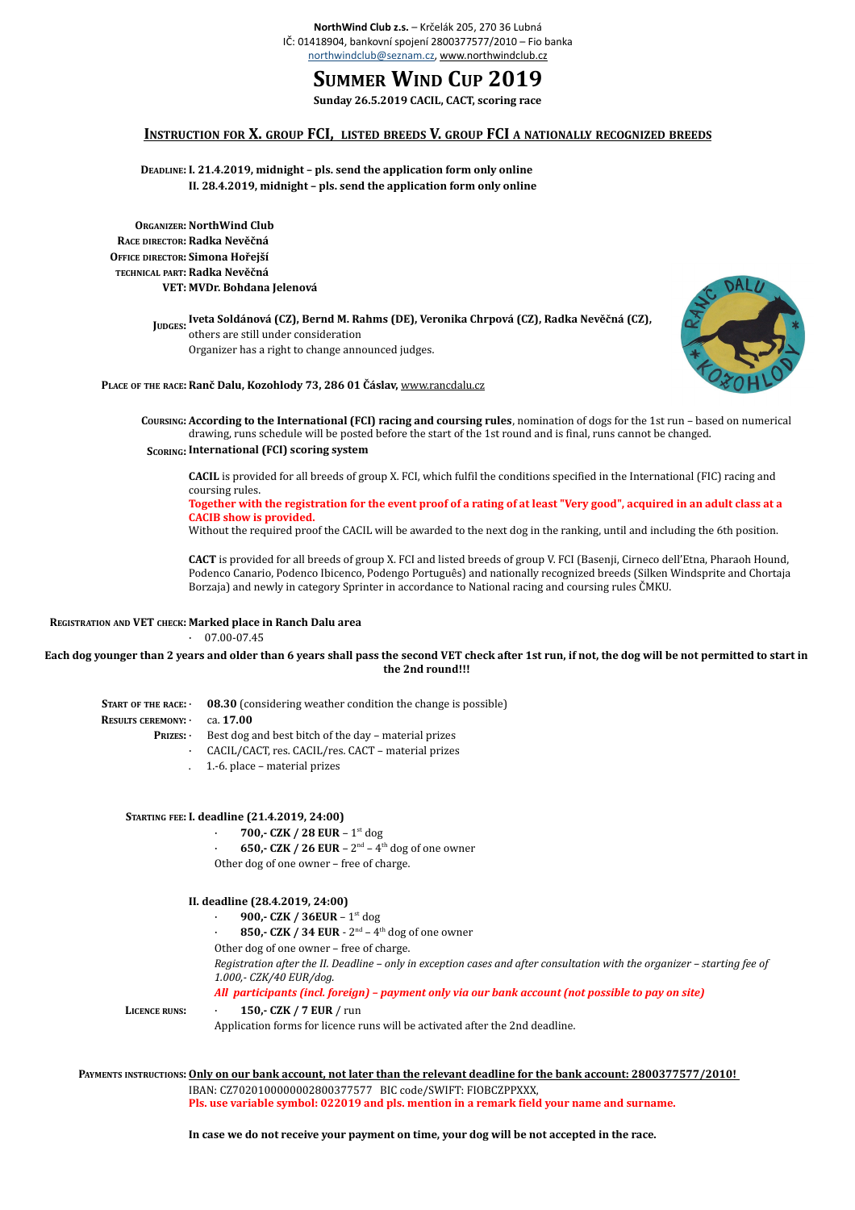# **SUMMER WIND CUP 2019**

**Sunday 26.5.2019 CACIL, CACT, scoring race**

## **INSTRUCTION FOR X. GROUP FCI, LISTED BREEDS V. GROUP FCI A NATIONALLY RECOGNIZED BREEDS**

**DEADLINE: I. 21.4.2019, midnight – pls. send the application form only online II. 28.4.2019, midnight – pls. send the application form only online**

**ORGANIZER: NorthWind Club RACE DIRECTOR: Radka Nevěčná OFFICE DIRECTOR: Simona Hořejší TECHNICAL PART: Radka Nevěčná VET: MVDr. Bohdana Jelenová**

> **JUDGES: Iveta Soldánová (CZ), Bernd M. Rahms (DE), Veronika Chrpová (CZ), Radka Nevěčná (CZ),**  others are still under consideration Organizer has a right to change announced judges.



**PLACE OF THE RACE:Ranč Dalu, Kozohlody 73, 286 01 Čáslav,** [www.rancdalu.cz](https://www.rancdalu.cz/)

**COURSING: According to the International (FCI) racing and coursing rules**, nomination of dogs for the 1st run – based on numerical drawing, runs schedule will be posted before the start of the 1st round and is final, runs cannot be changed.

**SCORING: International (FCI) scoring system** 

**CACIL** is provided for all breeds of group X. FCI, which fulfil the conditions specified in the International (FIC) racing and coursing rules.

**Together with the registration for the event proof of a rating of at least "Very good", acquired in an adult class at a CACIB show is provided.** 

Without the required proof the CACIL will be awarded to the next dog in the ranking, until and including the 6th position.

**CACT** is provided for all breeds of group X. FCI and listed breeds of group V. FCI (Basenji, Cirneco dell'Etna, Pharaoh Hound, Podenco Canario, Podenco Ibicenco, Podengo Português) and nationally recognized breeds (Silken Windsprite and Chortaja Borzaja) and newly in category Sprinter in accordance to National racing and coursing rules ČMKU.

### **REGISTRATION AND VET CHECK: Marked place in Ranch Dalu area**

 $\cdot$  07.00-07.45

**Each dog younger than 2 years and older than 6 years shall pass the second VET check after 1st run, if not, the dog will be not permitted to start in the 2nd round!!!**

**START OF THE RACE:** · **08.30** (considering weather condition the change is possible) **RESULTS CEREMONY: PRIZES:** Best dog and best bitch of the day - material prizes · ca. **17.00** · CACIL/CACT, res. CACIL/res. CACT – material prizes

. 1.-6. place – material prizes

#### **STARTING FEE: I. deadline (21.4.2019, 24:00)**

· **700,- CZK / 28 EUR** – 1st dog

650,- CZK / 26 EUR –  $2^{nd}$  –  $4^{th}$  dog of one owner Other dog of one owner – free of charge.

**II. deadline (28.4.2019, 24:00)**

· **900,- CZK / 36EUR** – 1st dog

· **850,- CZK / 34 EUR** - 2nd – 4th dog of one owner

Other dog of one owner – free of charge.

*Registration after the II. Deadline – only in exception cases and after consultation with the organizer – starting fee of 1.000,- CZK/40 EUR/dog.*

*All participants (incl. foreign) – payment only via our bank account (not possible to pay on site)*

#### **LICENCE RUNS:** · **150,- CZK / 7 EUR** / run

Application forms for licence runs will be activated after the 2nd deadline.

**PAYMENTS INSTRUCTIONS:Only on our bank account, not later than the relevant deadline for the bank account: 2800377577/2010!**  IBAN: CZ7020100000002800377577 BIC code/SWIFT: FIOBCZPPXXX,

**Pls. use variable symbol: 022019 and pls. mention in a remark field your name and surname.**